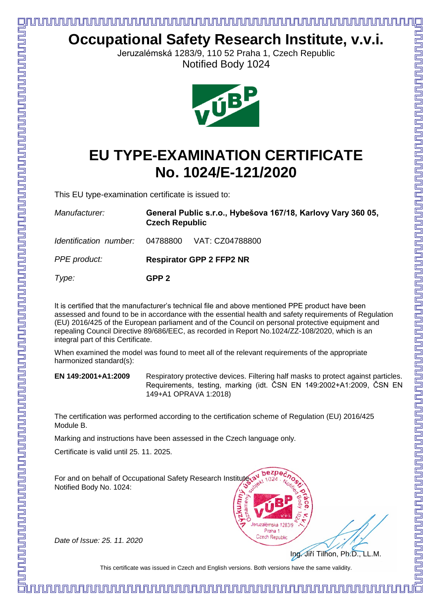

*Date of Issue: 25. 11. 2020*

Module B.

Ing. Jiří Tilhon, Ph.D., LL.M.

This certificate was issued in Czech and English versions. Both versions have the same validity.